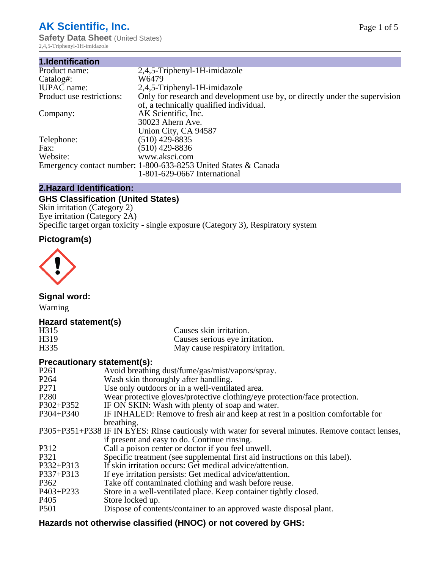# **AK Scientific, Inc.**

**Safety Data Sheet (United States)** 2,4,5-Triphenyl-1H-imidazole

| 1.Identification          |                                                                                                                        |
|---------------------------|------------------------------------------------------------------------------------------------------------------------|
| Product name:             | 2,4,5-Triphenyl-1H-imidazole                                                                                           |
| Catalog#:                 | W6479                                                                                                                  |
| <b>IUPAC</b> name:        | 2,4,5-Triphenyl-1H-imidazole                                                                                           |
| Product use restrictions: | Only for research and development use by, or directly under the supervision<br>of, a technically qualified individual. |
| Company:                  | AK Scientific, Inc.                                                                                                    |
|                           | 30023 Ahern Ave.                                                                                                       |
|                           | Union City, CA 94587                                                                                                   |
| Telephone:                | $(510)$ 429-8835                                                                                                       |
| Fax:                      | $(510)$ 429-8836                                                                                                       |
| Website:                  | www.aksci.com                                                                                                          |
|                           | Emergency contact number: 1-800-633-8253 United States & Canada                                                        |
|                           | 1-801-629-0667 International                                                                                           |

# **2.Hazard Identification:**

# **GHS Classification (United States)**

Skin irritation (Category 2) Eye irritation (Category 2A) Specific target organ toxicity - single exposure (Category 3), Respiratory system

# **Pictogram(s)**



**Signal word:**

Warning

## **Hazard statement(s)**

| H315              | Causes skin irritation.           |
|-------------------|-----------------------------------|
| H <sub>3</sub> 19 | Causes serious eye irritation.    |
| H335              | May cause respiratory irritation. |

## **Precautionary statement(s):**

| P <sub>261</sub> | Avoid breathing dust/fume/gas/mist/vapors/spray.                                                   |
|------------------|----------------------------------------------------------------------------------------------------|
| P <sub>264</sub> | Wash skin thoroughly after handling.                                                               |
| P <sub>271</sub> | Use only outdoors or in a well-ventilated area.                                                    |
| P <sub>280</sub> | Wear protective gloves/protective clothing/eye protection/face protection.                         |
| P302+P352        | IF ON SKIN: Wash with plenty of soap and water.                                                    |
| $P304 + P340$    | IF INHALED: Remove to fresh air and keep at rest in a position comfortable for                     |
|                  | breathing.                                                                                         |
|                  | P305+P351+P338 IF IN EYES: Rinse cautiously with water for several minutes. Remove contact lenses, |
|                  | if present and easy to do. Continue rinsing.                                                       |
| P312             | Call a poison center or doctor if you feel unwell.                                                 |
| P321             | Specific treatment (see supplemental first aid instructions on this label).                        |
| P332+P313        | If skin irritation occurs: Get medical advice/attention.                                           |
| P337+P313        | If eye irritation persists: Get medical advice/attention.                                          |
| P362             | Take off contaminated clothing and wash before reuse.                                              |
| P403+P233        | Store in a well-ventilated place. Keep container tightly closed.                                   |
| P <sub>405</sub> | Store locked up.                                                                                   |
| P <sub>501</sub> | Dispose of contents/container to an approved waste disposal plant.                                 |
|                  |                                                                                                    |

# **Hazards not otherwise classified (HNOC) or not covered by GHS:**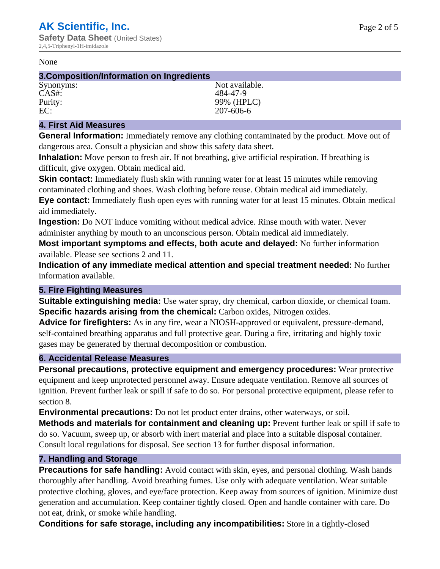#### None

#### **3.Composition/Information on Ingredients**

CAS#: 484-47-9

Synonyms: Not available. Purity: 99% (HPLC)<br>EC: 207-606-6 EC: 207-606-6

## **4. First Aid Measures**

**General Information:** Immediately remove any clothing contaminated by the product. Move out of dangerous area. Consult a physician and show this safety data sheet.

**Inhalation:** Move person to fresh air. If not breathing, give artificial respiration. If breathing is difficult, give oxygen. Obtain medical aid.

**Skin contact:** Immediately flush skin with running water for at least 15 minutes while removing contaminated clothing and shoes. Wash clothing before reuse. Obtain medical aid immediately. **Eye contact:** Immediately flush open eyes with running water for at least 15 minutes. Obtain medical aid immediately.

**Ingestion:** Do NOT induce vomiting without medical advice. Rinse mouth with water. Never administer anything by mouth to an unconscious person. Obtain medical aid immediately.

**Most important symptoms and effects, both acute and delayed:** No further information available. Please see sections 2 and 11.

**Indication of any immediate medical attention and special treatment needed:** No further information available.

## **5. Fire Fighting Measures**

**Suitable extinguishing media:** Use water spray, dry chemical, carbon dioxide, or chemical foam. **Specific hazards arising from the chemical:** Carbon oxides, Nitrogen oxides.

**Advice for firefighters:** As in any fire, wear a NIOSH-approved or equivalent, pressure-demand, self-contained breathing apparatus and full protective gear. During a fire, irritating and highly toxic gases may be generated by thermal decomposition or combustion.

## **6. Accidental Release Measures**

**Personal precautions, protective equipment and emergency procedures:** Wear protective equipment and keep unprotected personnel away. Ensure adequate ventilation. Remove all sources of ignition. Prevent further leak or spill if safe to do so. For personal protective equipment, please refer to section 8.

**Environmental precautions:** Do not let product enter drains, other waterways, or soil.

**Methods and materials for containment and cleaning up:** Prevent further leak or spill if safe to do so. Vacuum, sweep up, or absorb with inert material and place into a suitable disposal container. Consult local regulations for disposal. See section 13 for further disposal information.

## **7. Handling and Storage**

**Precautions for safe handling:** Avoid contact with skin, eyes, and personal clothing. Wash hands thoroughly after handling. Avoid breathing fumes. Use only with adequate ventilation. Wear suitable protective clothing, gloves, and eye/face protection. Keep away from sources of ignition. Minimize dust generation and accumulation. Keep container tightly closed. Open and handle container with care. Do not eat, drink, or smoke while handling.

**Conditions for safe storage, including any incompatibilities:** Store in a tightly-closed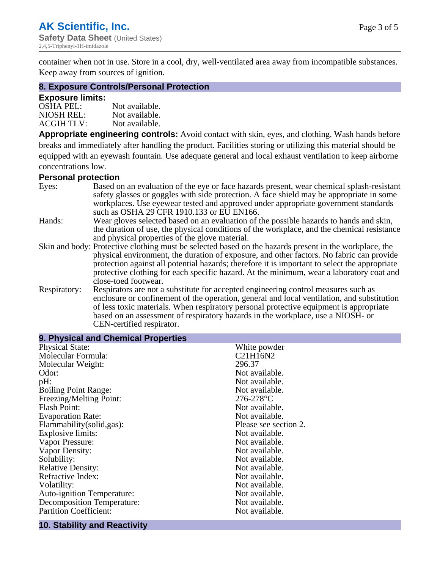container when not in use. Store in a cool, dry, well-ventilated area away from incompatible substances. Keep away from sources of ignition.

#### **8. Exposure Controls/Personal Protection**

#### **Exposure limits:**

| <b>OSHA PEL:</b>  | Not available. |
|-------------------|----------------|
| NIOSH REL:        | Not available. |
| <b>ACGIH TLV:</b> | Not available. |

**Appropriate engineering controls:** Avoid contact with skin, eyes, and clothing. Wash hands before breaks and immediately after handling the product. Facilities storing or utilizing this material should be equipped with an eyewash fountain. Use adequate general and local exhaust ventilation to keep airborne concentrations low.

#### **Personal protection**

| Eyes:        | Based on an evaluation of the eye or face hazards present, wear chemical splash-resistant<br>safety glasses or goggles with side protection. A face shield may be appropriate in some |  |  |
|--------------|---------------------------------------------------------------------------------------------------------------------------------------------------------------------------------------|--|--|
|              | workplaces. Use eyewear tested and approved under appropriate government standards<br>such as OSHA 29 CFR 1910.133 or EU EN166.                                                       |  |  |
| Hands:       | Wear gloves selected based on an evaluation of the possible hazards to hands and skin,                                                                                                |  |  |
|              | the duration of use, the physical conditions of the workplace, and the chemical resistance                                                                                            |  |  |
|              | and physical properties of the glove material.                                                                                                                                        |  |  |
|              | Skin and body: Protective clothing must be selected based on the hazards present in the workplace, the                                                                                |  |  |
|              | physical environment, the duration of exposure, and other factors. No fabric can provide                                                                                              |  |  |
|              | protection against all potential hazards; therefore it is important to select the appropriate                                                                                         |  |  |
|              | protective clothing for each specific hazard. At the minimum, wear a laboratory coat and                                                                                              |  |  |
|              | close-toed footwear.                                                                                                                                                                  |  |  |
| Respiratory: | Respirators are not a substitute for accepted engineering control measures such as<br>enclosure or confinement of the operation, general and local ventilation, and substitution      |  |  |
|              | of less toxic materials. When respiratory personal protective equipment is appropriate                                                                                                |  |  |
|              |                                                                                                                                                                                       |  |  |
|              | based on an assessment of respiratory hazards in the workplace, use a NIOSH- or                                                                                                       |  |  |
|              | CEN-certified respirator.                                                                                                                                                             |  |  |

| 9. Physical and Chemical Properties |                       |  |  |
|-------------------------------------|-----------------------|--|--|
| <b>Physical State:</b>              | White powder          |  |  |
| Molecular Formula:                  | C21H16N2              |  |  |
| Molecular Weight:                   | 296.37                |  |  |
| Odor:                               | Not available.        |  |  |
| pH:                                 | Not available.        |  |  |
| <b>Boiling Point Range:</b>         | Not available.        |  |  |
| Freezing/Melting Point:             | $276 - 278$ °C        |  |  |
| <b>Flash Point:</b>                 | Not available.        |  |  |
| <b>Evaporation Rate:</b>            | Not available.        |  |  |
| Flammability(solid,gas):            | Please see section 2. |  |  |
| <b>Explosive limits:</b>            | Not available.        |  |  |
| Vapor Pressure:                     | Not available.        |  |  |
| Vapor Density:                      | Not available.        |  |  |
| Solubility:                         | Not available.        |  |  |
| <b>Relative Density:</b>            | Not available.        |  |  |
| Refractive Index:                   | Not available.        |  |  |
| Volatility:                         | Not available.        |  |  |
| <b>Auto-ignition Temperature:</b>   | Not available.        |  |  |
| <b>Decomposition Temperature:</b>   | Not available.        |  |  |
| <b>Partition Coefficient:</b>       | Not available.        |  |  |

# **10. Stability and Reactivity**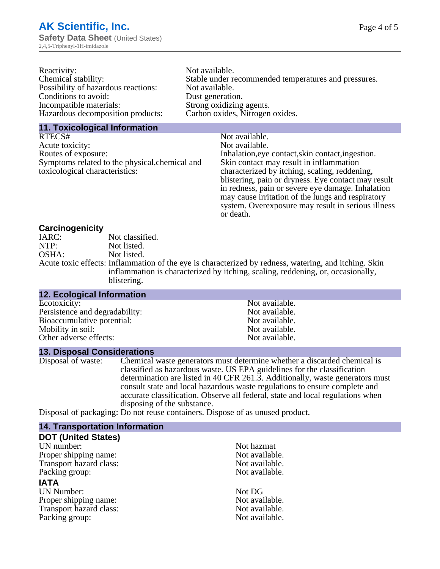| Reactivity:                         | Not available.                                       |
|-------------------------------------|------------------------------------------------------|
| Chemical stability:                 | Stable under recommended temperatures and pressures. |
| Possibility of hazardous reactions: | Not available.                                       |
| Conditions to avoid:                | Dust generation.                                     |
| Incompatible materials:             | Strong oxidizing agents.                             |
| Hazardous decomposition products:   | Carbon oxides, Nitrogen oxides.                      |
|                                     |                                                      |

#### **11. Toxicological Information**

| RTECS#                                                                                    | Not available.                                      |
|-------------------------------------------------------------------------------------------|-----------------------------------------------------|
| Acute toxicity:                                                                           | Not available.                                      |
| Routes of exposure:                                                                       | Inhalation, eye contact, skin contact, ingestion.   |
| Skin contact may result in inflammation<br>Symptoms related to the physical, chemical and |                                                     |
| toxicological characteristics:                                                            | characterized by itching, scaling, reddening,       |
|                                                                                           | blistering, pain or dryness. Eye contact may result |
|                                                                                           | in redness, pain or severe eye damage. Inhalation   |
|                                                                                           | may cause irritation of the lungs and respiratory   |
|                                                                                           | system. Overexposure may result in serious illness  |

or death.

#### **Carcinogenicity**

| IARC: | Not classified.                                                                                       |
|-------|-------------------------------------------------------------------------------------------------------|
| NTP:  | Not listed.                                                                                           |
| OSHA: | Not listed.                                                                                           |
|       | Acute toxic effects: Inflammation of the eye is characterized by redness, watering, and itching. Skin |
|       | inflammation is characterized by itching, scaling, reddening, or, occasionally,                       |
|       | blistering.                                                                                           |

| 12. Ecological Information     |                |
|--------------------------------|----------------|
| Ecotoxicity:                   | Not available. |
| Persistence and degradability: | Not available. |
| Bioaccumulative potential:     | Not available. |
| Mobility in soil:              | Not available. |
| Other adverse effects:         | Not available. |

#### **13. Disposal Considerations**

Disposal of waste: Chemical waste generators must determine whether a discarded chemical is classified as hazardous waste. US EPA guidelines for the classification determination are listed in 40 CFR 261.3. Additionally, waste generators must consult state and local hazardous waste regulations to ensure complete and accurate classification. Observe all federal, state and local regulations when disposing of the substance.

Disposal of packaging: Do not reuse containers. Dispose of as unused product.

| <b>14. Transportation Information</b> |                |
|---------------------------------------|----------------|
| <b>DOT (United States)</b>            |                |
| UN number:                            | Not hazmat     |
| Proper shipping name:                 | Not available. |
| Transport hazard class:               | Not available. |
| Packing group:                        | Not available. |
| <b>IATA</b>                           |                |
| <b>UN Number:</b>                     | Not DG         |
| Proper shipping name:                 | Not available. |
| Transport hazard class:               | Not available. |
| Packing group:                        | Not available. |